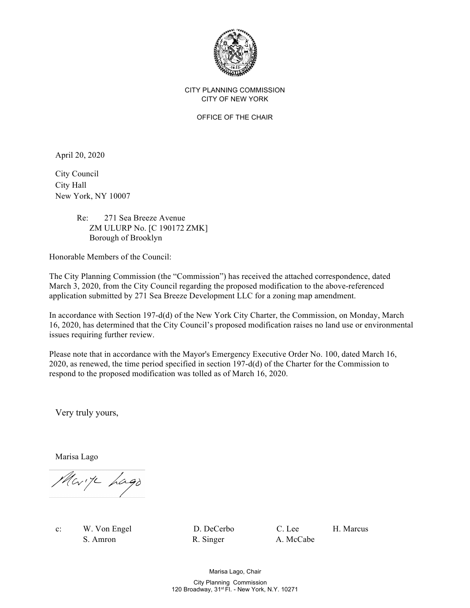

## CITY PLANNING COMMISSION CITY OF NEW YORK

OFFICE OF THE CHAIR

April 20, 2020

City Council City Hall New York, NY 10007

## Re: 271 Sea Breeze Avenue ZM ULURP No. [C 190172 ZMK] Borough of Brooklyn

Honorable Members of the Council:

The City Planning Commission (the "Commission") has received the attached correspondence, dated March 3, 2020, from the City Council regarding the proposed modification to the above-referenced application submitted by 271 Sea Breeze Development LLC for a zoning map amendment.

In accordance with Section 197-d(d) of the New York City Charter, the Commission, on Monday, March 16, 2020, has determined that the City Council's proposed modification raises no land use or environmental issues requiring further review.

Please note that in accordance with the Mayor's Emergency Executive Order No. 100, dated March 16, 2020, as renewed, the time period specified in section 197-d(d) of the Charter for the Commission to respond to the proposed modification was tolled as of March 16, 2020.

Very truly yours,

Marisa Lago

Mark Lago

c: W. Von Engel D. DeCerbo C. Lee H. Marcus S. Amron R. Singer A. McCabe

Marisa Lago, Chair City Planning Commission 120 Broadway, 31<sup>st</sup> Fl. - New York, N.Y. 10271